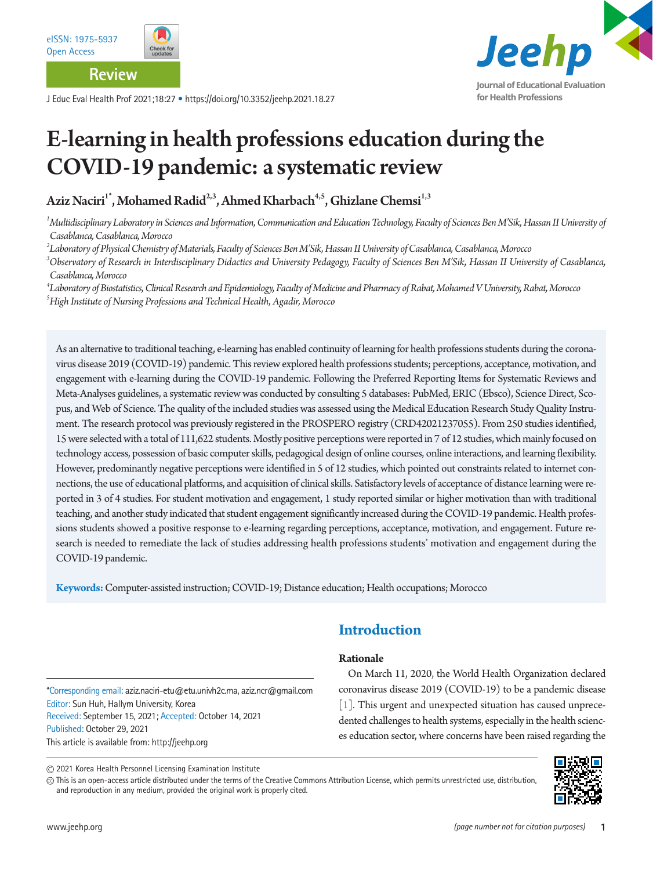

**Journal of Educational Evaluation for Health Professions**

# E-learning in health professions education during the COVID-19 pandemic: a systematic review

Aziz Naciri<sup>1\*</sup>, Mohamed Radid<sup>2,3</sup>, Ahmed Kharbach<sup>4,5</sup>, Ghizlane Chemsi<sup>1,3</sup>

*1 Multidisciplinary Laboratory in Sciences and Information, Communication and Education Technology, Faculty of Sciences Ben M'Sik, Hassan II University of Casablanca, Casablanca, Morocco* 

*2 Laboratory of Physical Chemistry of Materials, Faculty of Sciences Ben M'Sik, Hassan II University of Casablanca, Casablanca, Morocco* 

<sup>3</sup>Observatory of Research in Interdisciplinary Didactics and University Pedagogy, Faculty of Sciences Ben M'Sik, Hassan II University of Casablanca, *Casablanca, Morocco* 

*4 Laboratory of Biostatistics, Clinical Research and Epidemiology, Faculty of Medicine and Pharmacy of Rabat, Mohamed V University, Rabat, Morocco 5 High Institute of Nursing Professions and Technical Health, Agadir, Morocco* 

As an alternative to traditional teaching, e-learning has enabled continuity of learning for health professions students during the coronavirus disease 2019 (COVID-19) pandemic. This review explored health professions students; perceptions, acceptance, motivation, and engagement with e-learning during the COVID-19 pandemic. Following the Preferred Reporting Items for Systematic Reviews and Meta-Analyses guidelines, a systematic review was conducted by consulting 5 databases: PubMed, ERIC (Ebsco), Science Direct, Scopus, and Web of Science. The quality of the included studies was assessed using the Medical Education Research Study Quality Instrument. The research protocol was previously registered in the PROSPERO registry (CRD42021237055). From 250 studies identified, 15 were selected with a total of 111,622 students. Mostly positive perceptions were reported in 7 of 12 studies, which mainly focused on technology access, possession of basic computer skills, pedagogical design of online courses, online interactions, and learning flexibility. However, predominantly negative perceptions were identified in 5 of 12 studies, which pointed out constraints related to internet connections, the use of educational platforms, and acquisition of clinical skills. Satisfactory levels of acceptance of distance learning were reported in 3 of 4 studies. For student motivation and engagement, 1 study reported similar or higher motivation than with traditional teaching, and another study indicated that student engagement significantly increased during the COVID-19 pandemic. Health professions students showed a positive response to e-learning regarding perceptions, acceptance, motivation, and engagement. Future research is needed to remediate the lack of studies addressing health professions students' motivation and engagement during the COVID-19 pandemic.

**Keywords:** Computer-assisted instruction; COVID-19; Distance education; Health occupations; Morocco

# **Introduction**

#### **Rationale**

\*Corresponding email: aziz.naciri-etu@etu.univh2c.ma, aziz.ncr@gmail.com Editor: Sun Huh, Hallym University, Korea Received: September 15, 2021; Accepted: October 14, 2021 Published: October 29, 2021 This article is available from: http://jeehp.org

On March 11, 2020, the World Health Organization declared coronavirus disease 2019 (COVID-19) to be a pandemic disease [\[1\]](#page-9-0). This urgent and unexpected situation has caused unprecedented challenges to health systems, especially in the health sciences education sector, where concerns have been raised regarding the

2021 Korea Health Personnel Licensing Examination Institute

This is an open-access article distributed under the terms of the Creative Commons Attribution License, which permits unrestricted use, distribution, and reproduction in any medium, provided the original work is properly cited.

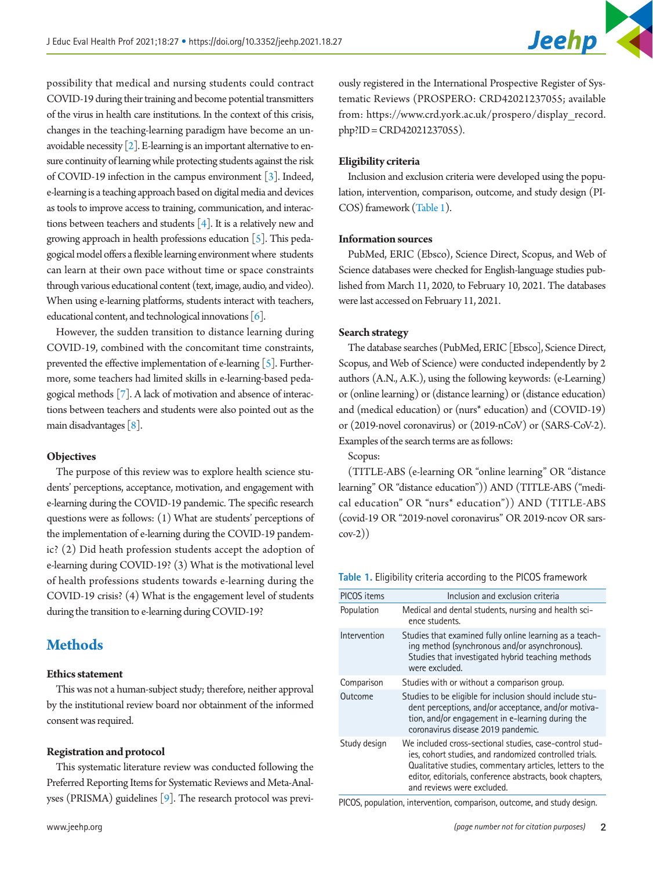possibility that medical and nursing students could contract COVID-19 during their training and become potential transmitters of the virus in health care institutions. In the context of this crisis, changes in the teaching-learning paradigm have become an unavoidable necessity  $[2]$ . E-learning is an important alternative to ensure continuity of learning while protecting students against the risk of COVID-19 infection in the campus environment [[3\]](#page-9-2). Indeed, e-learning is a teaching approach based on digital media and devices as tools to improve access to training, communication, and interactions between teachers and students [\[4](#page-9-3)]. It is a relatively new and growing approach in health professions education  $\lceil 5 \rceil$ . This pedagogical model offers a flexible learning environment where students can learn at their own pace without time or space constraints through various educational content (text, image, audio, and video). When using e-learning platforms, students interact with teachers, educational content, and technological innovations [\[6\]](#page-9-5).

However, the sudden transition to distance learning during COVID-19, combined with the concomitant time constraints, prevented the effective implementation of e-learning [5]. Furthermore, some teachers had limited skills in e-learning-based pedagogical methods [\[7\]](#page-9-6). A lack of motivation and absence of interactions between teachers and students were also pointed out as the main disadvantages [\[8](#page-9-7)].

#### **Objectives**

The purpose of this review was to explore health science students' perceptions, acceptance, motivation, and engagement with e-learning during the COVID-19 pandemic. The specific research questions were as follows: (1) What are students' perceptions of the implementation of e-learning during the COVID-19 pandemic? (2) Did heath profession students accept the adoption of e-learning during COVID-19? (3) What is the motivational level of health professions students towards e-learning during the COVID-19 crisis? (4) What is the engagement level of students during the transition to e-learning during COVID-19?

# **Methods**

#### **Ethics statement**

This was not a human-subject study; therefore, neither approval by the institutional review board nor obtainment of the informed consent was required.

#### **Registration and protocol**

This systematic literature review was conducted following the Preferred Reporting Items for Systematic Reviews and Meta-Analyses (PRISMA) guidelines [\[9](#page-9-8)]. The research protocol was previ-

ously registered in the International Prospective Register of Systematic Reviews (PROSPERO: CRD42021237055; available from: https:[//www.crd.york.ac.uk/prospero/d](www.crd.york.ac.uk/prospero/)isplay\_record. php?ID = CRD42021237055).

#### **Eligibility criteria**

Inclusion and exclusion criteria were developed using the population, intervention, comparison, outcome, and study design (PI-COS) framework (Table 1).

#### **Information sources**

PubMed, ERIC (Ebsco), Science Direct, Scopus, and Web of Science databases were checked for English-language studies published from March 11, 2020, to February 10, 2021. The databases were last accessed on February 11, 2021.

#### **Search strategy**

The database searches (PubMed, ERIC [Ebsco], Science Direct, Scopus, and Web of Science) were conducted independently by 2 authors (A.N., A.K.), using the following keywords: (e-Learning) or (online learning) or (distance learning) or (distance education) and (medical education) or (nurs\* education) and (COVID-19) or (2019-novel coronavirus) or (2019-nCoV) or (SARS-CoV-2). Examples of the search terms are as follows:

Scopus:

(TITLE-ABS (e-learning OR "online learning" OR "distance learning" OR "distance education")) AND (TITLE-ABS ("medical education" OR "nurs\* education")) AND (TITLE-ABS (covid-19 OR "2019-novel coronavirus" OR 2019-ncov OR sarscov-2))

**Table 1.** Eligibility criteria according to the PICOS framework

| <b>PICOS</b> items | Inclusion and exclusion criteria                                                                                                                                                                                                                                        |
|--------------------|-------------------------------------------------------------------------------------------------------------------------------------------------------------------------------------------------------------------------------------------------------------------------|
| Population         | Medical and dental students, nursing and health sci-<br>ence students.                                                                                                                                                                                                  |
| Intervention       | Studies that examined fully online learning as a teach-<br>ing method (synchronous and/or asynchronous).<br>Studies that investigated hybrid teaching methods<br>were excluded.                                                                                         |
| Comparison         | Studies with or without a comparison group.                                                                                                                                                                                                                             |
| Outcome            | Studies to be eligible for inclusion should include stu-<br>dent perceptions, and/or acceptance, and/or motiva-<br>tion, and/or engagement in e-learning during the<br>coronavirus disease 2019 pandemic.                                                               |
| Study design       | We included cross-sectional studies, case-control stud-<br>ies, cohort studies, and randomized controlled trials.<br>Qualitative studies, commentary articles, letters to the<br>editor, editorials, conference abstracts, book chapters,<br>and reviews were excluded. |

PICOS, population, intervention, comparison, outcome, and study design.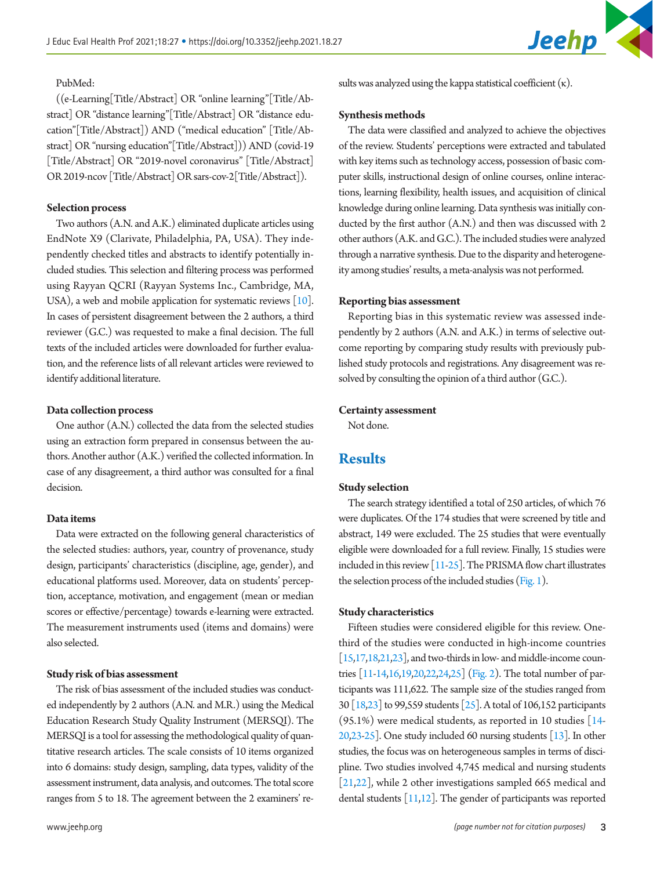

#### PubMed:

((e-Learning[Title/Abstract] OR "online learning"[Title/Abstract] OR "distance learning"[Title/Abstract] OR "distance education"[Title/Abstract]) AND ("medical education" [Title/Abstract] OR "nursing education"[Title/Abstract])) AND (covid-19 [Title/Abstract] OR "2019-novel coronavirus" [Title/Abstract] OR 2019-ncov [Title/Abstract] OR sars-cov-2[Title/Abstract]).

#### **Selection process**

Two authors (A.N. and A.K.) eliminated duplicate articles using EndNote X9 (Clarivate, Philadelphia, PA, USA). They independently checked titles and abstracts to identify potentially included studies. This selection and filtering process was performed using Rayyan QCRI (Rayyan Systems Inc., Cambridge, MA, USA), a web and mobile application for systematic reviews [\[10](#page-9-9)]. In cases of persistent disagreement between the 2 authors, a third reviewer (G.C.) was requested to make a final decision. The full texts of the included articles were downloaded for further evaluation, and the reference lists of all relevant articles were reviewed to identify additional literature.

#### **Data collection process**

One author (A.N.) collected the data from the selected studies using an extraction form prepared in consensus between the authors. Another author (A.K.) verified the collected information. In case of any disagreement, a third author was consulted for a final decision.

#### **Data items**

Data were extracted on the following general characteristics of the selected studies: authors, year, country of provenance, study design, participants' characteristics (discipline, age, gender), and educational platforms used. Moreover, data on students' perception, acceptance, motivation, and engagement (mean or median scores or effective/percentage) towards e-learning were extracted. The measurement instruments used (items and domains) were also selected.

#### **Study risk of bias assessment**

The risk of bias assessment of the included studies was conducted independently by 2 authors (A.N. and M.R.) using the Medical Education Research Study Quality Instrument (MERSQI). The MERSQI is a tool for assessing the methodological quality of quantitative research articles. The scale consists of 10 items organized into 6 domains: study design, sampling, data types, validity of the assessment instrument, data analysis, and outcomes. The total score ranges from 5 to 18. The agreement between the 2 examiners' results was analyzed using the kappa statistical coefficient  $(\kappa)$ .

#### **Synthesis methods**

The data were classified and analyzed to achieve the objectives of the review. Students' perceptions were extracted and tabulated with key items such as technology access, possession of basic computer skills, instructional design of online courses, online interactions, learning flexibility, health issues, and acquisition of clinical knowledge during online learning. Data synthesis was initially conducted by the first author (A.N.) and then was discussed with 2 other authors (A.K. and G.C.). The included studies were analyzed through a narrative synthesis. Due to the disparity and heterogeneity among studies' results, a meta-analysis was not performed.

#### **Reporting bias assessment**

Reporting bias in this systematic review was assessed independently by 2 authors (A.N. and A.K.) in terms of selective outcome reporting by comparing study results with previously published study protocols and registrations. Any disagreement was resolved by consulting the opinion of a third author (G.C.).

#### **Certainty assessment**

Not done.

## **Results**

#### **Study selection**

The search strategy identified a total of 250 articles, of which 76 were duplicates. Of the 174 studies that were screened by title and abstract, 149 were excluded. The 25 studies that were eventually eligible were downloaded for a full review. Finally, 15 studies were included in this review  $\left[11-25\right]$  $\left[11-25\right]$  $\left[11-25\right]$ . The PRISMA flow chart illustrates the selection process of the included studies (Fig. 1).

#### **Study characteristics**

Fifteen studies were considered eligible for this review. Onethird of the studies were conducted in high-income countries [\[15](#page-9-11)[,17](#page-9-12)[,18,](#page-9-13)[21](#page-9-14)[,23](#page-10-1)], and two-thirds in low- and middle-income countries [\[11](#page-9-15)[-14](#page-9-16)[,16](#page-9-17)[,19](#page-9-18)[,20,](#page-9-19)[22](#page-10-2)[,24](#page-10-3)[,25\]](#page-10-4) (Fig. 2). The total number of participants was 111,622. The sample size of the studies ranged from 30 [\[18](#page-9-20)[,23\]](#page-9-14) to 99,559 students [\[25\]](#page-10-1). A total of 106,152 participants  $(95.1\%)$  were medical students, as reported in 10 studies  $[14 [14-$ [20](#page-9-12)[,23](#page-9-21)[-25](#page-10-5)]. One study included 60 nursing students [\[13](#page-9-22)]. In other studies, the focus was on heterogeneous samples in terms of discipline. Two studies involved 4,745 medical and nursing students [\[21](#page-9-13)[,22\]](#page-9-19), while 2 other investigations sampled 665 medical and dental students [\[11](#page-9-8)[,12](#page-9-23)]. The gender of participants was reported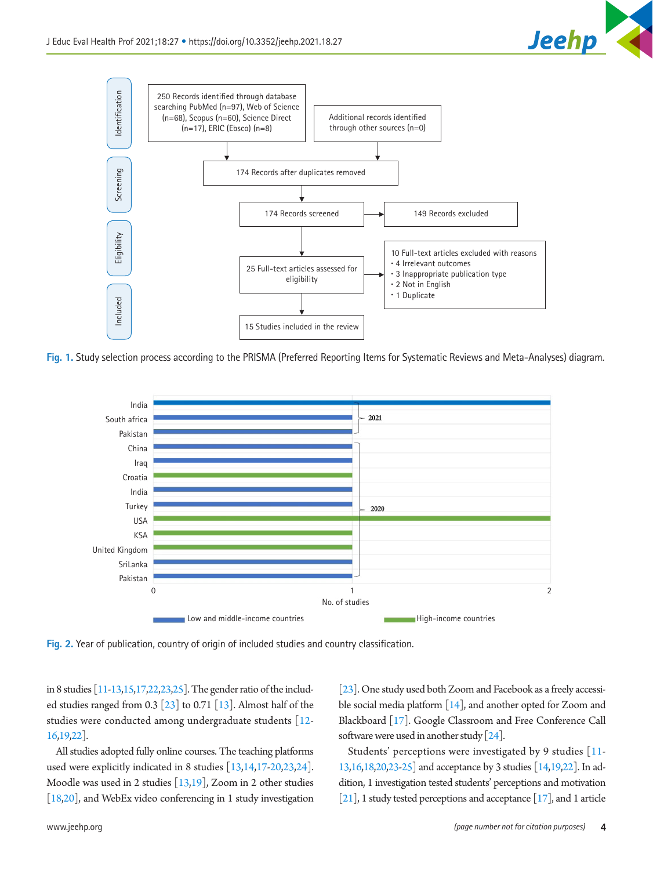



**Fig. 1.** Study selection process according to the PRISMA (Preferred Reporting Items for Systematic Reviews and Meta-Analyses) diagram.



**Fig. 2.** Year of publication, country of origin of included studies and country classification.

in 8 studies [\[11](#page-9-24)[-13](#page-9-25)[,15](#page-9-22)[,17](#page-9-26)[,22](#page-9-27)[,23,](#page-9-21)[25](#page-10-6)]. The gender ratio of the included studies ranged from 0.3  $\lceil 23 \rceil$  to 0.71  $\lceil 13 \rceil$ . Almost half of the studies were conducted among undergraduate students [[12](#page-9-24)- [16](#page-9-16)[,19](#page-9-17)[,22\]](#page-9-27).

All studies adopted fully online courses. The teaching platforms used were explicitly indicated in 8 studies [\[13](#page-9-25)[,14](#page-9-28)[,17-](#page-9-26)[20](#page-9-29)[,23](#page-9-30)[,24](#page-10-7)]. Moodle was used in 2 studies [\[13](#page-9-25)[,19](#page-9-31)], Zoom in 2 other studies [\[18](#page-9-31)[,20\]](#page-9-32), and WebEx video conferencing in 1 study investigation

[\[23](#page-9-30)]. One study used both Zoom and Facebook as a freely accessible social media platform [\[14](#page-9-28)], and another opted for Zoom and Blackboard [\[17\]](#page-9-11). Google Classroom and Free Conference Call software were used in another study [[24](#page-10-7)].

Students' perceptions were investigated by 9 studies [\[11](#page-9-33)[-](#page-9-25) [13](#page-9-25)[,16](#page-9-34)[,18](#page-9-35)[,20](#page-9-32)[,23](#page-9-30)[-25](#page-10-6)] and acceptance by 3 studies [\[14](#page-9-36)[,19](#page-9-35)[,22\]](#page-9-27). In addition, 1 investigation tested students' perceptions and motivation [\[21](#page-9-37)], 1 study tested perceptions and acceptance  $[17]$ , and 1 article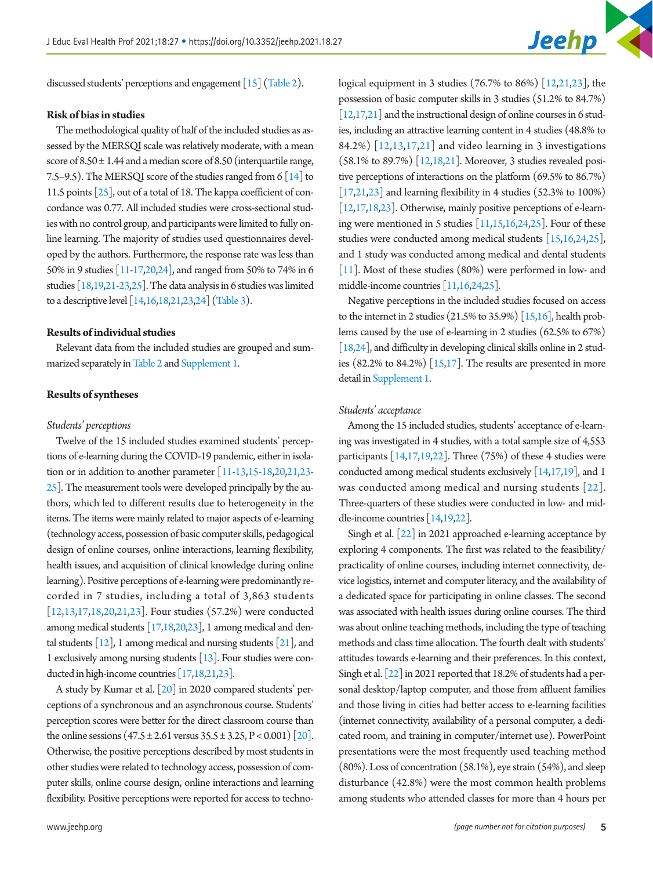discussed students' perceptions and engagement [\[15\]](#page-9-39) (Table 2).

#### **Risk of bias in studies**

The methodological quality of half of the included studies as assessed by the MERSQI scale was relatively moderate, with a mean score of  $8.50 \pm 1.44$  and a median score of  $8.50$  (interquartile range, 7.5–9.5). The MERSQI score of the studies ranged from 6 [\[14\]](#page-9-36) to 11.5 points [\[25](#page-10-8)], out of a total of 18. The kappa coefficient of concordance was 0.77. All included studies were cross-sectional studies with no control group, and participants were limited to fully online learning. The majority of studies used questionnaires developed by the authors. Furthermore, the response rate was less than 50% in 9 studies [\[11](#page-9-33)[-17](#page-9-38)[,20](#page-9-32)[,24](#page-10-7)], and ranged from 50% to 74% in 6 studies [\[18,19](#page-9-35)[,21](#page-9-37)[-23](#page-9-30)[,25](#page-10-8)]. The data analysis in 6 studies was limited to a descriptive level [[14](#page-9-36)[,16](#page-9-34)[,18](#page-9-40)[,21](#page-9-41)[,23](#page-9-30)[,24\]](#page-10-9) (Table 3).

#### **Results of individual studies**

Relevant data from the included studies are grouped and summarized separately in Table 2 and Supplement 1.

#### **Results of syntheses**

#### *Students' perceptions*

Twelve of the 15 included studies examined students' perceptions of e-learning during the COVID-19 pandemic, either in isolation or in addition to another parameter [\[11](#page-9-33)[-13](#page-9-42)[,15](#page-9-39)[-18](#page-9-43)[,20](#page-9-44)[,21](#page-9-41)[,23](#page-9-30)- [25\]](#page-10-10). The measurement tools were developed principally by the authors, which led to different results due to heterogeneity in the items. The items were mainly related to major aspects of e-learning (technology access, possession of basic computer skills, pedagogical design of online courses, online interactions, learning flexibility, health issues, and acquisition of clinical knowledge during online learning). Positive perceptions of e-learning were predominantly recorded in 7 studies, including a total of 3,863 students [\[12](#page-9-33)[,13](#page-9-45),[17](#page-9-38)[,18](#page-9-44),[20,](#page-9-46)[21](#page-9-47)[,23\]](#page-9-30). Four studies (57.2%) were conducted among medical students [\[17](#page-9-48)[,18,20](#page-9-46)[,23\]](#page-10-11), 1 among medical and dental students [\[12\]](#page-9-33), 1 among medical and nursing students [\[21](#page-9-47)], and 1 exclusively among nursing students [\[13](#page-9-45)]. Four studies were conducted in high-income countries [\[17](#page-9-48)[,18](#page-9-49)[,21](#page-9-18)[,23\]](#page-10-11).

A study by Kumar et al. [\[20\]](#page-9-50) in 2020 compared students' perceptions of a synchronous and an asynchronous course. Students' perception scores were better for the direct classroom course than the online sessions  $(47.5 \pm 2.61)$  versus  $35.5 \pm 3.25$ ,  $P < 0.001$   $[20]$ . Otherwise, the positive perceptions described by most students in other studies were related to technology access, possession of computer skills, online course design, online interactions and learning flexibility. Positive perceptions were reported for access to techno-

logical equipment in 3 studies (76.7% to 86%) [\[12,](#page-9-51)[21,](#page-9-50)[23\]](#page-10-12), the possession of basic computer skills in 3 studies (51.2% to 84.7%)  $[12,17,21]$  $[12,17,21]$  $[12,17,21]$  and the instructional design of online courses in 6 studies, including an attractive learning content in 4 studies (48.8% to 84.2%) [\[12,](#page-9-52)[13](#page-9-45)[,17](#page-9-48)[,21](#page-9-27)] and video learning in 3 investigations (58.1% to 89.7%) [\[12](#page-9-25)[,18](#page-9-27)[,21\]](#page-9-54). Moreover, 3 studies revealed positive perceptions of interactions on the platform (69.5% to 86.7%) [\[17](#page-9-20)[,21](#page-9-54)[,23\]](#page-10-12) and learning flexibility in 4 studies (52.3% to 100%) [\[12](#page-9-25)[,17](#page-9-20)[,18](#page-9-54)[,23\]](#page-10-12). Otherwise, mainly positive perceptions of e-learning were mentioned in 5 studies [\[11](#page-9-25)[,15,](#page-9-55)[16](#page-9-34)[,24](#page-10-9)[,25\]](#page-10-3). Four of these studies were conducted among medical students [\[15](#page-9-55)[,16](#page-9-56)[,24](#page-10-13)[,25\]](#page-10-14), and 1 study was conducted among medical and dental students [\[11\]](#page-9-45). Most of these studies (80%) were performed in low- and middle-income countries [\[11,](#page-9-57)[16](#page-9-56)[,24](#page-10-2)[,25\]](#page-10-14).

Negative perceptions in the included studies focused on access to the internet in 2 studies (21.5% to 35.9%) [\[15](#page-9-58)[,16\]](#page-9-56), health problems caused by the use of e-learning in 2 studies (62.5% to 67%) [\[18](#page-9-59)[,24\]](#page-10-15), and difficulty in developing clinical skills online in 2 studies  $(82.2\%$  to  $84.2\%)$  [\[15](#page-9-60)[,17\]](#page-9-61). The results are presented in more detail in Supplement 1.

#### *Students' acceptance*

Among the 15 included studies, students' acceptance of e-learning was investigated in 4 studies, with a total sample size of 4,553 participants [\[14,](#page-9-36)[17,19,22\]](#page-9-61). Three (75%) of these 4 studies were conducted among medical students exclusively [\[14](#page-9-62)[,17,](#page-9-61)[19](#page-9-63)], and 1 was conducted among medical and nursing students [[22](#page-9-63)]. Three-quarters of these studies were conducted in low- and middle-income countries [\[14](#page-9-64)[,19](#page-9-63)[,22\]](#page-10-12).

Singh et al. [\[22](#page-10-12)] in 2021 approached e-learning acceptance by exploring 4 components. The first was related to the feasibility/ practicality of online courses, including internet connectivity, device logistics, internet and computer literacy, and the availability of a dedicated space for participating in online classes. The second was associated with health issues during online courses. The third was about online teaching methods, including the type of teaching methods and class time allocation. The fourth dealt with students' attitudes towards e-learning and their preferences. In this context, Singh et al. [\[22\]](#page-10-7) in 2021 reported that 18.2% of students had a personal desktop/laptop computer, and those from affluent families and those living in cities had better access to e-learning facilities (internet connectivity, availability of a personal computer, a dedicated room, and training in computer/internet use). PowerPoint presentations were the most frequently used teaching method (80%). Loss of concentration (58.1%), eye strain (54%), and sleep disturbance (42.8%) were the most common health problems among students who attended classes for more than 4 hours per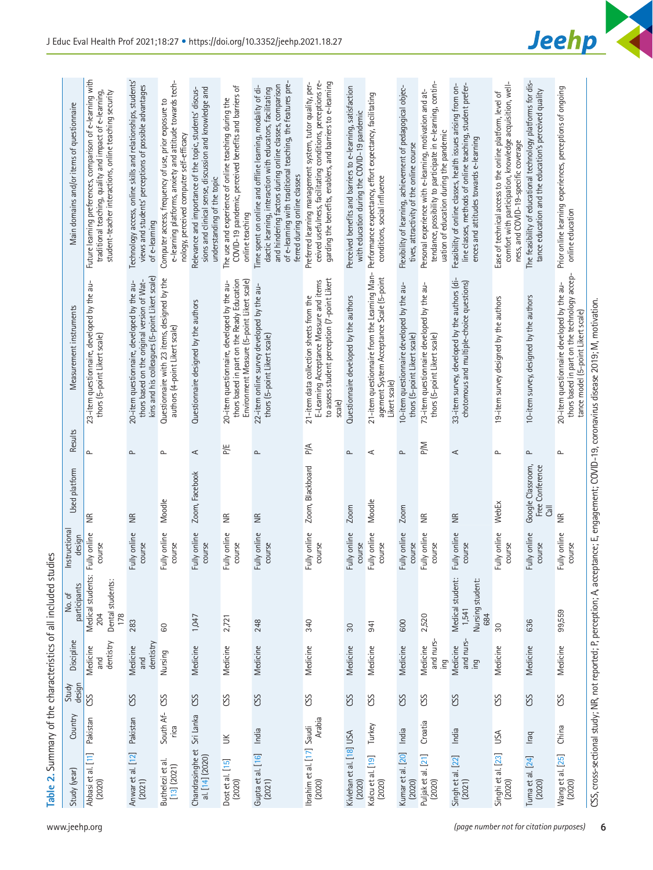| rituded intermediate to be the control |
|----------------------------------------|
| 5                                      |
| j                                      |
| .<br>המות ה<br>;<br>;<br>;             |
| $104 + 104$                            |
|                                        |
|                                        |
|                                        |

| Main domains and/or items of questionnaire | Future learning preferences, comparison of e-learning with<br>traditional teaching, quality and impact of e-learning,<br>student-teacher interactions, online teaching security | Technology access, online skills and relationships, students'<br>views and students' perceptions of possible advantages<br>of e-learning     | e-learning platforms, anxiety and attitude towards tech-<br>Computer access, frequency of use, prior exposure to<br>nology, perceived computer self-efficacy | sions and clinical sense, discussion and knowledge and<br>Relevance and importance of the topic, students' discus-<br>understanding of the topic | COVID-19 pandemic, perceived benefits and barriers of<br>The use and experience of online teaching during the<br>online teaching        | of e-learning with traditional teaching, the features pre-<br>and hindering factors during online classes, comparison<br>Time spent on online and offline learning, modality of di-<br>dactic learning, interaction with educators, facilitating<br>ferred during online classes | ceived usefulness, facilitating conditions, perceptions re-<br>garding the benefits, enablers, and barriers to e-learning<br>Preferred learning management system, tutor quality, per- | Perceived benefits and barriers to e-learning, satisfaction<br>with education during the COVID-19 pandemic | Performance expectancy, effort expectancy, facilitating<br>conditions, social influence                   | Flexibility of learning, achievement of pedagogical objec-<br>tives, attractivity of the online course | tendance, possibility to participate in e-learning, contin-<br>Personal experience with e-learning, motivation and at-<br>uation of education during the pandemic | line classes, methods of online teaching, student prefer-<br>Feasibility of online classes, health issues arising from on<br>ences and attitudes towards e-learning | comfort with participation, knowledge acquisition, well-<br>Ease of technical access to the online platform, level of<br>ness, and COVID-19-specific coverage | The feasibility of educational technology platforms for dis-<br>tance education and the education's perceived quality | Prior online learning experiences, perceptions of ongoing<br>online education                                                                                                                                                                                                     |
|--------------------------------------------|---------------------------------------------------------------------------------------------------------------------------------------------------------------------------------|----------------------------------------------------------------------------------------------------------------------------------------------|--------------------------------------------------------------------------------------------------------------------------------------------------------------|--------------------------------------------------------------------------------------------------------------------------------------------------|-----------------------------------------------------------------------------------------------------------------------------------------|----------------------------------------------------------------------------------------------------------------------------------------------------------------------------------------------------------------------------------------------------------------------------------|----------------------------------------------------------------------------------------------------------------------------------------------------------------------------------------|------------------------------------------------------------------------------------------------------------|-----------------------------------------------------------------------------------------------------------|--------------------------------------------------------------------------------------------------------|-------------------------------------------------------------------------------------------------------------------------------------------------------------------|---------------------------------------------------------------------------------------------------------------------------------------------------------------------|---------------------------------------------------------------------------------------------------------------------------------------------------------------|-----------------------------------------------------------------------------------------------------------------------|-----------------------------------------------------------------------------------------------------------------------------------------------------------------------------------------------------------------------------------------------------------------------------------|
| Measurement instruments                    | $=$<br>23-item questionnaire, developed by the<br>thors (5-point Likert scale)                                                                                                  | kins and his colleagues (5-point Likert scale)<br>thors based on the original version of Wat-<br>20-item questionnaire, developed by the au- | Questionnaire with 23 items, designed by the<br>authors (4-point Likert scale)                                                                               | Questionnaire designed by the authors                                                                                                            | thors based in part on the Ready Education<br>Environment Measure (5-point Likert scale)<br>20-item questionnaire, developed by the au- | 22-item online survey developed by the au-<br>thors (5-point Likert scale)                                                                                                                                                                                                       | to assess student perception (7-point Likert<br>E-Learning Acceptance Measure and items<br>21-item data collection sheets from the<br>scale)                                           | Questionnaire developed by the authors                                                                     | 21-item questionnaire from the Learning Man-<br>agement System Acceptance Scale (5-point<br>Likert scale) | IO-item questionnaire developed by the au-<br>thors (5-point Likert scale)                             | 73-item questionnaire developed by the au-<br>thors (5-point Likert scale)                                                                                        | 33-item survey, developed by the authors (di-<br>chotomous and multiple-choice questions)                                                                           | 19-item survey designed by the authors                                                                                                                        | 10-item survey, designed by the authors                                                                               | thors based in part on the technology accep-<br>20-item questionnaire developed by the au-<br>CSS, cross-sectional study: NR, not reported: P, perception: A, acceptance: E, engagement: COVID-19, coronavirus disease 2019; M, motivation.<br>tance model (5-point Likert scale) |
| Results                                    | $\mathrel{\mathsf{a}}$                                                                                                                                                          | $\mathbf{r}$                                                                                                                                 | ௨                                                                                                                                                            | $\prec$                                                                                                                                          | P/E                                                                                                                                     | $\sim$                                                                                                                                                                                                                                                                           | P/A                                                                                                                                                                                    | ௨                                                                                                          | ⋖                                                                                                         | $\sim$                                                                                                 | P/M                                                                                                                                                               | ⋖                                                                                                                                                                   | $\mathbf{r}$                                                                                                                                                  | $\mathbf{r}$                                                                                                          | ௨                                                                                                                                                                                                                                                                                 |
| Used platform                              | $\frac{1}{2}$                                                                                                                                                                   | $rac{\pi}{2}$                                                                                                                                | Moodle                                                                                                                                                       | Zoom, Facebook                                                                                                                                   | €                                                                                                                                       | $\widetilde{\Xi}$                                                                                                                                                                                                                                                                | Zoom, Blackboard                                                                                                                                                                       | Zoom                                                                                                       | Moodle                                                                                                    | Zoom                                                                                                   | $\widetilde{\Xi}$                                                                                                                                                 | $\widetilde{\Xi}$                                                                                                                                                   | WebEx                                                                                                                                                         | Google Classroom,<br>Free Conference<br>忌                                                                             | $\widetilde{\Xi}$                                                                                                                                                                                                                                                                 |
| Instructional<br>design                    | Fully online<br>course                                                                                                                                                          | Fully online<br>course                                                                                                                       | Fully online<br>course                                                                                                                                       | Fully online<br>course                                                                                                                           | Fully online<br>course                                                                                                                  | Fully online<br>course                                                                                                                                                                                                                                                           | Fully online<br>course                                                                                                                                                                 | Fully online<br>course                                                                                     | Fully online<br>course                                                                                    | Fully online<br>course                                                                                 | Fully online<br>course                                                                                                                                            | Fully online<br>course                                                                                                                                              | Fully online<br>course                                                                                                                                        | Fully online<br>course                                                                                                | Fully online<br>course                                                                                                                                                                                                                                                            |
| participants<br>No. of                     | Medical students:<br>Dental students:<br>204<br>178                                                                                                                             | 283                                                                                                                                          | 8                                                                                                                                                            | 1,047                                                                                                                                            | 2,721                                                                                                                                   | 248                                                                                                                                                                                                                                                                              | 340                                                                                                                                                                                    | $30\,$                                                                                                     | 941                                                                                                       | 600                                                                                                    | 2,520                                                                                                                                                             | Medical student:<br>Nursing student:<br>1,541<br>684                                                                                                                | 30                                                                                                                                                            | 636                                                                                                                   | 99,559                                                                                                                                                                                                                                                                            |
| Discipline                                 | dentistry<br>Medicine<br>and                                                                                                                                                    | dentistry<br>Medicine<br>and                                                                                                                 | Nursing                                                                                                                                                      | Medicine                                                                                                                                         | Medicine                                                                                                                                | Medicine                                                                                                                                                                                                                                                                         | Medicine                                                                                                                                                                               | Medicine                                                                                                   | Medicine                                                                                                  | Medicine                                                                                               | and nurs<br>Medicine<br>ing                                                                                                                                       | and nurs-<br>Medicine<br>leq                                                                                                                                        | Medicine                                                                                                                                                      | Medicine                                                                                                              | Medicine                                                                                                                                                                                                                                                                          |
| design<br>Study                            | SS                                                                                                                                                                              | CSS                                                                                                                                          | <b>CSS</b>                                                                                                                                                   | CSS                                                                                                                                              | CSS                                                                                                                                     | CSS                                                                                                                                                                                                                                                                              | CSS                                                                                                                                                                                    | CSS                                                                                                        | CSS                                                                                                       | CSS                                                                                                    | SS                                                                                                                                                                | CSS                                                                                                                                                                 | CSS                                                                                                                                                           | CSS                                                                                                                   | CSS                                                                                                                                                                                                                                                                               |
| Country                                    | Pakistan                                                                                                                                                                        | Pakistan                                                                                                                                     | South Af-<br>rica                                                                                                                                            | Sri Lanka                                                                                                                                        | $\leq$                                                                                                                                  | India                                                                                                                                                                                                                                                                            | Arabia                                                                                                                                                                                 |                                                                                                            | Turkey                                                                                                    | India                                                                                                  | Croatia                                                                                                                                                           | India                                                                                                                                                               | USA                                                                                                                                                           | Iraq                                                                                                                  | China                                                                                                                                                                                                                                                                             |
| Study (year)                               | Abbasi et al. [11]<br>(2020)                                                                                                                                                    | Anwar et al. [12]<br>(2021)                                                                                                                  | Buthelezi et al.<br>$[13]$ $(2021)$                                                                                                                          | Chandrasinghe et<br>al. [14] (2020)                                                                                                              | Dost et al. [15]<br>(2020)                                                                                                              | Gupta et al. [16]<br>(2021)                                                                                                                                                                                                                                                      | Ibrahim et al. [17] Saudi<br>(2020)                                                                                                                                                    | Kivlehan et al. [18] USA<br>(2020)                                                                         | Kolcu et al. [19]<br>(2020)                                                                               | Kumar et al. [20]<br>(2020)                                                                            | Puljak et al. [21]<br>(2020)                                                                                                                                      | Singh et al. [22]<br>(2021)                                                                                                                                         | Singhi et al. [23]<br>(2020)                                                                                                                                  | Tuma et al. [24]<br>(2020)                                                                                            | Wang et al. [25]<br>(2020)                                                                                                                                                                                                                                                        |

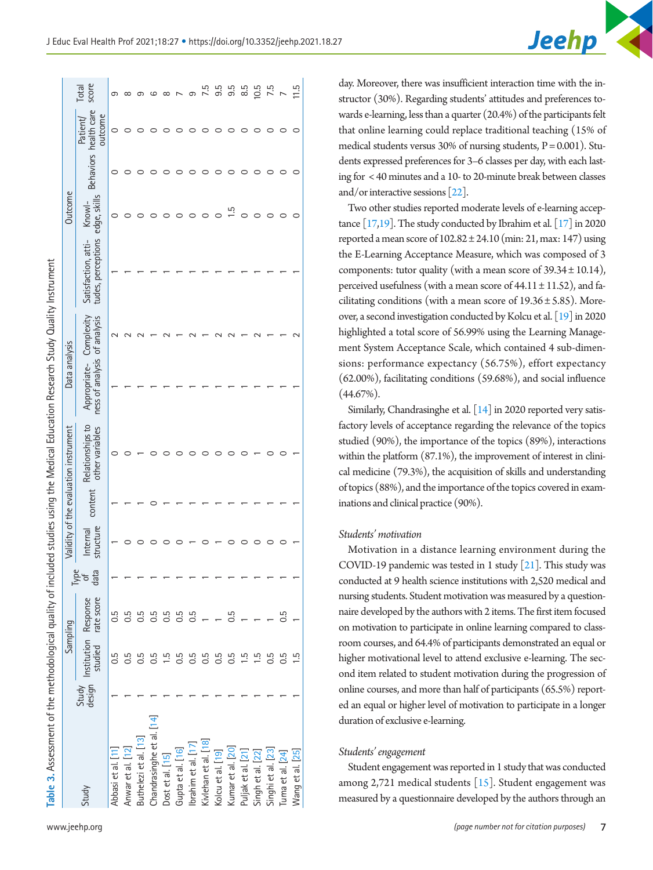Table 3. Assessment of the methodological quality of included studies using the Medical Education Research Study Quality Instrument **Table 3.** Assessment of the methodological quality of included studies using the Medical Education Research Study Quality Instrument

|                           |            | Sampling                                                  |                     |                       |         | Validity of the evaluation instrument | Data analysis                                |            |                                           | Outcome                |                                              |                |
|---------------------------|------------|-----------------------------------------------------------|---------------------|-----------------------|---------|---------------------------------------|----------------------------------------------|------------|-------------------------------------------|------------------------|----------------------------------------------|----------------|
| Study                     |            | Study Institution Response<br>design Institution Response | per<br>Pota<br>data | structure<br>Internal | content | Relationships to<br>other variables   | ness of analysis of analysis<br>Appropriate- | Complexity | tudes, perceptions<br>Satisfaction, atti- | edge, skills<br>Knowl- | Behaviors health care<br>outcome<br>Patient/ | score<br>Total |
| Abbasi et al. [11]        | 0.5        | 0.5                                                       |                     |                       |         |                                       |                                              |            |                                           | 0                      | 0                                            |                |
| Anwar et al. [12]         | 0.5        | <b>G.G</b>                                                |                     |                       |         |                                       |                                              |            |                                           |                        |                                              |                |
| Buthelezi et al. [13]     | 0.5        | 0.5                                                       |                     |                       |         |                                       |                                              |            |                                           |                        |                                              |                |
| Chandrasinghe et al. [14] | 0.5        | 0.5                                                       |                     |                       |         |                                       |                                              |            |                                           |                        |                                              |                |
| Dost et al. [15]          | يـا        | 0.5                                                       |                     |                       |         |                                       |                                              |            |                                           |                        |                                              | œ              |
| Gupta et al. [16]         | 0.5        | <b>G.5</b>                                                |                     |                       |         |                                       |                                              |            |                                           |                        |                                              |                |
| brahim et al. [17]        | 0.5        | 0.5                                                       |                     |                       |         |                                       |                                              |            |                                           |                        |                                              |                |
| Kivlehan et al. [18]      | <b>G.5</b> |                                                           |                     |                       |         |                                       |                                              |            |                                           |                        |                                              |                |
| Kolcu et al. [19]         | 0.5        |                                                           |                     |                       |         |                                       |                                              |            |                                           |                        |                                              | ე.<br>თ        |
| Kumar et al. [20]         | 0.5        | 0.5                                                       |                     |                       |         |                                       |                                              |            |                                           | 1.5                    |                                              | 9.5            |
| Puljak et al. [21]        |            |                                                           |                     |                       |         |                                       |                                              |            |                                           |                        |                                              | 8.5            |
| Singh et al. [22]         |            |                                                           |                     |                       |         |                                       |                                              |            |                                           |                        |                                              | 10.5           |
| Singhi et al. [23]        |            |                                                           |                     |                       |         |                                       |                                              |            |                                           |                        |                                              | 7.5            |
| [uma et al. [24]          | 0.5        | 0.5                                                       |                     |                       |         |                                       |                                              |            |                                           |                        |                                              |                |
| Wang et al. [25]          |            |                                                           |                     |                       |         |                                       |                                              |            |                                           |                        | c                                            | $\frac{5}{11}$ |
|                           |            |                                                           |                     |                       |         |                                       |                                              |            |                                           |                        |                                              |                |

day. Moreover, there was insufficient interaction time with the instructor (30%). Regarding students' attitudes and preferences towards e-learning, less than a quarter (20.4%) of the participants felt that online learning could replace traditional teaching (15% of medical students versus  $30\%$  of nursing students,  $P = 0.001$ ). Students expressed preferences for 3–6 classes per day, with each lasting for < 40 minutes and a 10- to 20-minute break between classes and/or interactive sessions [\[22\]](#page-10-16).

Jeehp

Two other studies reported moderate levels of e-learning acceptance  $[17,19]$  $[17,19]$ . The study conducted by Ibrahim et al.  $[17]$  in 2020 reported a mean score of  $102.82 \pm 24.10$  (min: 21, max: 147) using the E-Learning Acceptance Measure, which was composed of 3 components: tutor quality (with a mean score of  $39.34 \pm 10.14$ ), perceived usefulness (with a mean score of  $44.11 \pm 11.52$ ), and facilitating conditions (with a mean score of  $19.36 \pm 5.85$ ). Moreover, a second investigation conducted by Kolcu et al. [\[19\]](#page-9-7) in 2020 highlighted a total score of 56.99% using the Learning Management System Acceptance Scale, which contained 4 sub-dimensions: performance expectancy (56.75%), effort expectancy (62.00%), facilitating conditions (59.68%), and social influence (44.67%).

Similarly, Chandrasinghe et al. [\[14\]](#page-9-64) in 2020 reported very satisfactory levels of acceptance regarding the relevance of the topics studied (90%), the importance of the topics (89%), interactions within the platform (87.1%), the improvement of interest in clinical medicine (79.3%), the acquisition of skills and understanding of topics (88%), and the importance of the topics covered in examinations and clinical practice (90%).

#### *Students' motivation*

Motivation in a distance learning environment during the COVID-19 pandemic was tested in 1 study [\[21](#page-10-16)]. This study was conducted at 9 health science institutions with 2,520 medical and nursing students. Student motivation was measured by a questionnaire developed by the authors with 2 items. The first item focused on motivation to participate in online learning compared to classroom courses, and 64.4% of participants demonstrated an equal or higher motivational level to attend exclusive e-learning. The second item related to student motivation during the progression of online courses, and more than half of participants (65.5%) reported an equal or higher level of motivation to participate in a longer duration of exclusive e-learning.

#### *Students' engagement*

Student engagement was reported in 1 study that was conducted among 2,721 medical students  $[15]$  $[15]$ . Student engagement was measured by a questionnaire developed by the authors through an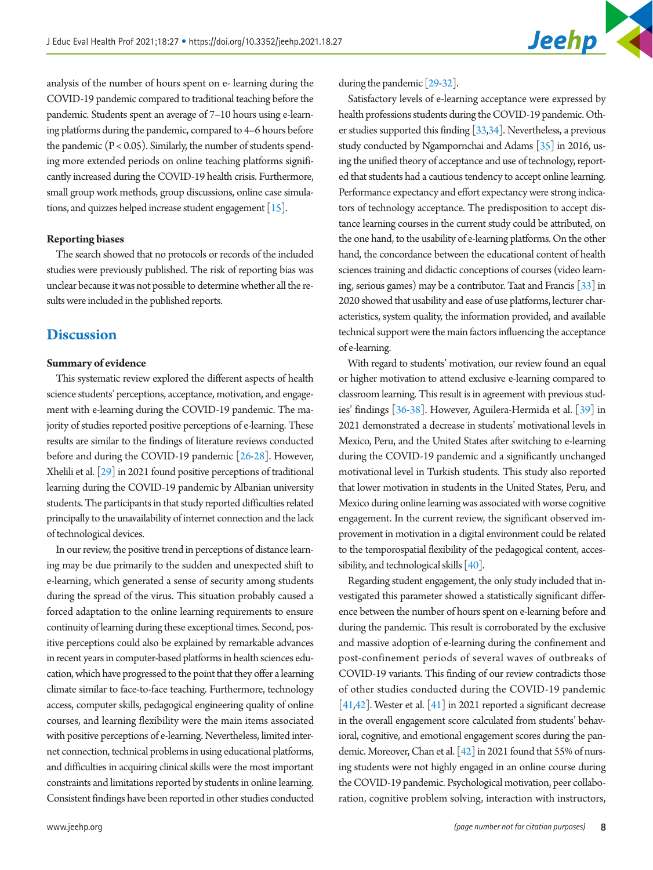analysis of the number of hours spent on e- learning during the COVID-19 pandemic compared to traditional teaching before the pandemic. Students spent an average of 7–10 hours using e-learning platforms during the pandemic, compared to 4–6 hours before the pandemic  $(P < 0.05)$ . Similarly, the number of students spending more extended periods on online teaching platforms significantly increased during the COVID-19 health crisis. Furthermore, small group work methods, group discussions, online case simulations, and quizzes helped increase student engagement  $[15]$  $[15]$ .

#### **Reporting biases**

The search showed that no protocols or records of the included studies were previously published. The risk of reporting bias was unclear because it was not possible to determine whether all the results were included in the published reports.

## **Discussion**

#### **Summary of evidence**

This systematic review explored the different aspects of health science students' perceptions, acceptance, motivation, and engagement with e-learning during the COVID-19 pandemic. The majority of studies reported positive perceptions of e-learning. These results are similar to the findings of literature reviews conducted before and during the COVID-19 pandemic [\[26](#page-10-17)[-28](#page-10-18)]. However, Xhelili et al. [\[29\]](#page-10-19) in 2021 found positive perceptions of traditional learning during the COVID-19 pandemic by Albanian university students. The participants in that study reported difficulties related principally to the unavailability of internet connection and the lack of technological devices.

In our review, the positive trend in perceptions of distance learning may be due primarily to the sudden and unexpected shift to e-learning, which generated a sense of security among students during the spread of the virus. This situation probably caused a forced adaptation to the online learning requirements to ensure continuity of learning during these exceptional times. Second, positive perceptions could also be explained by remarkable advances in recent years in computer-based platforms in health sciences education, which have progressed to the point that they offer a learning climate similar to face-to-face teaching. Furthermore, technology access, computer skills, pedagogical engineering quality of online courses, and learning flexibility were the main items associated with positive perceptions of e-learning. Nevertheless, limited internet connection, technical problems in using educational platforms, and difficulties in acquiring clinical skills were the most important constraints and limitations reported by students in online learning. Consistent findings have been reported in other studies conducted during the pandemic [\[29](#page-10-20)[-32\]](#page-10-21).

Satisfactory levels of e-learning acceptance were expressed by health professions students during the COVID-19 pandemic. Other studies supported this finding [\[33,](#page-10-22)[34](#page-10-23)]. Nevertheless, a previous study conducted by Ngampornchai and Adams [\[35](#page-10-24)] in 2016, using the unified theory of acceptance and use of technology, reported that students had a cautious tendency to accept online learning. Performance expectancy and effort expectancy were strong indicators of technology acceptance. The predisposition to accept distance learning courses in the current study could be attributed, on the one hand, to the usability of e-learning platforms. On the other hand, the concordance between the educational content of health sciences training and didactic conceptions of courses (video learning, serious games) may be a contributor. Taat and Francis [\[33](#page-10-25)] in 2020 showed that usability and ease of use platforms, lecturer characteristics, system quality, the information provided, and available technical support were the main factors influencing the acceptance of e-learning.

With regard to students' motivation, our review found an equal or higher motivation to attend exclusive e-learning compared to classroom learning. This result is in agreement with previous studies' findings [\[36](#page-10-26)[-38\]](#page-10-27). However, Aguilera-Hermida et al. [\[39\]](#page-10-28) in 2021 demonstrated a decrease in students' motivational levels in Mexico, Peru, and the United States after switching to e-learning during the COVID-19 pandemic and a significantly unchanged motivational level in Turkish students. This study also reported that lower motivation in students in the United States, Peru, and Mexico during online learning was associated with worse cognitive engagement. In the current review, the significant observed improvement in motivation in a digital environment could be related to the temporospatial flexibility of the pedagogical content, accessibility, and technological skills [\[40](#page-10-29)].

Regarding student engagement, the only study included that investigated this parameter showed a statistically significant difference between the number of hours spent on e-learning before and during the pandemic. This result is corroborated by the exclusive and massive adoption of e-learning during the confinement and post-confinement periods of several waves of outbreaks of COVID-19 variants. This finding of our review contradicts those of other studies conducted during the COVID-19 pandemic [\[41](#page-10-27)[,42\]](#page-10-30). Wester et al. [\[41\]](#page-10-31) in 2021 reported a significant decrease in the overall engagement score calculated from students' behavioral, cognitive, and emotional engagement scores during the pandemic. Moreover, Chan et al. [\[42\]](#page-10-28) in 2021 found that 55% of nursing students were not highly engaged in an online course during the COVID-19 pandemic. Psychological motivation, peer collaboration, cognitive problem solving, interaction with instructors,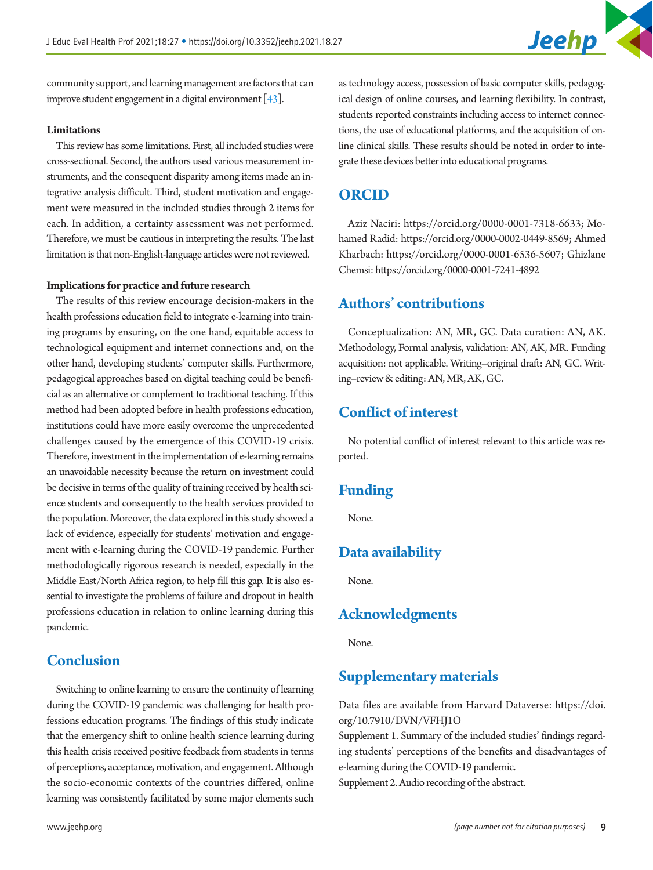

community support, and learning management are factors that can improve student engagement in a digital environment [\[43](#page-10-32)].

#### **Limitations**

This review has some limitations. First, all included studies were cross-sectional. Second, the authors used various measurement instruments, and the consequent disparity among items made an integrative analysis difficult. Third, student motivation and engagement were measured in the included studies through 2 items for each. In addition, a certainty assessment was not performed. Therefore, we must be cautious in interpreting the results. The last limitation is that non-English-language articles were not reviewed.

#### **Implications for practice and future research**

The results of this review encourage decision-makers in the health professions education field to integrate e-learning into training programs by ensuring, on the one hand, equitable access to technological equipment and internet connections and, on the other hand, developing students' computer skills. Furthermore, pedagogical approaches based on digital teaching could be beneficial as an alternative or complement to traditional teaching. If this method had been adopted before in health professions education, institutions could have more easily overcome the unprecedented challenges caused by the emergence of this COVID-19 crisis. Therefore, investment in the implementation of e-learning remains an unavoidable necessity because the return on investment could be decisive in terms of the quality of training received by health science students and consequently to the health services provided to the population. Moreover, the data explored in this study showed a lack of evidence, especially for students' motivation and engagement with e-learning during the COVID-19 pandemic. Further methodologically rigorous research is needed, especially in the Middle East/North Africa region, to help fill this gap. It is also essential to investigate the problems of failure and dropout in health professions education in relation to online learning during this pandemic.

## **Conclusion**

Switching to online learning to ensure the continuity of learning during the COVID-19 pandemic was challenging for health professions education programs. The findings of this study indicate that the emergency shift to online health science learning during this health crisis received positive feedback from students in terms of perceptions, acceptance, motivation, and engagement. Although the socio-economic contexts of the countries differed, online learning was consistently facilitated by some major elements such

as technology access, possession of basic computer skills, pedagogical design of online courses, and learning flexibility. In contrast, students reported constraints including access to internet connections, the use of educational platforms, and the acquisition of online clinical skills. These results should be noted in order to integrate these devices better into educational programs.

### **ORCID**

Aziz Naciri: [https://orcid.org/0000-0001-7318-663](http://orcid.org/0000-0001-7318-6633)3; Mohamed Radid[: https://orcid.org/0000-0002-0449-8569](http://orcid.org/0000-0002-0449-8569); Ahmed Kharbach[: https://orcid.org/0000-0001-6536-5607](http://orcid.org/0000-0001-6536-5607); Ghizlane Chemsi: [https://orcid.org/0000-0001-7241-489](http://orcid.org/0000-0001-7241-4892)2

## **Authors' contributions**

Conceptualization: AN, MR, GC. Data curation: AN, AK. Methodology, Formal analysis, validation: AN, AK, MR. Funding acquisition: not applicable. Writing–original draft: AN, GC. Writing–review & editing: AN, MR, AK, GC.

## **Conflict of interest**

No potential conflict of interest relevant to this article was reported.

## **Funding**

None.

## **Data availability**

None.

## **Acknowledgments**

None.

## **Supplementary materials**

Data files are available from Harvard Dataverse: [https://doi.](https://doi.org/10.7910/DVN/VFHJ1O) [org/10.7910/DVN/VFHJ1O](https://doi.org/10.7910/DVN/VFHJ1O)

Supplement 1. Summary of the included studies' findings regarding students' perceptions of the benefits and disadvantages of e-learning during the COVID-19 pandemic.

Supplement 2. Audio recording of the abstract.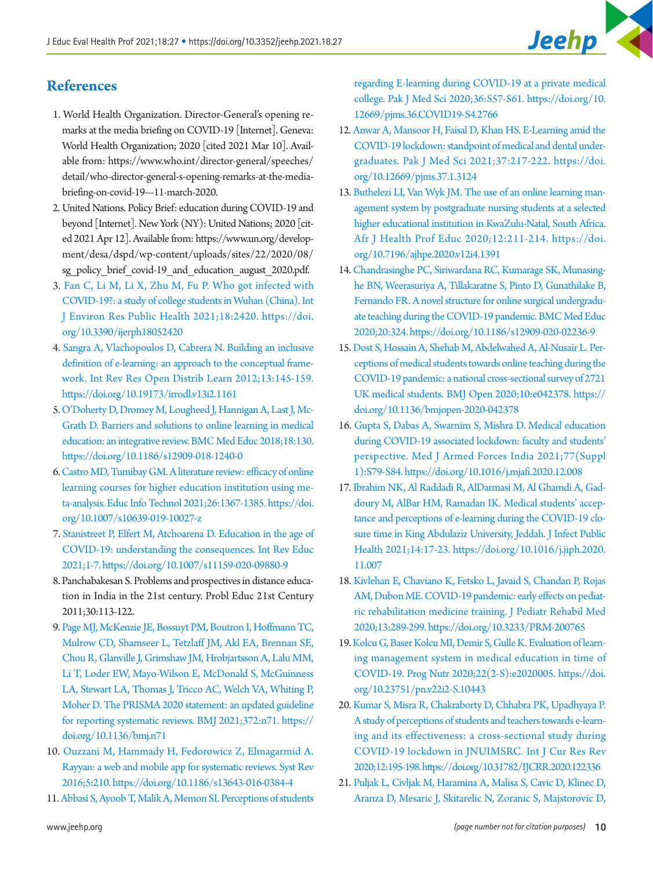# **References**

- <span id="page-9-0"></span>1. World Health Organization. Director-General's opening remarks at the media briefing on COVID-19 [Internet]. Geneva: World Health Organization; 2020 [cited 2021 Mar 10]. Available from: https:[//www.who.int/director-general/speeches/](www.who.int/director-general/speeches/) detail/who-director-general-s-opening-remarks-at-the-mediabriefing-on-covid-19---11-march-2020.
- <span id="page-9-4"></span><span id="page-9-1"></span>2. United Nations. Policy Brief: education during COVID-19 and beyond [Internet]. New York (NY): United Nations; 2020 [cited 2021 Apr 12]. Available from: https:[//www.un.org/develop](www.un.org/development/desa/dspd/wp-content/uploads/sites/22/2020/08/)[ment/desa/dspd/wp-content/uploads/sites/22/2020/08/](www.un.org/development/desa/dspd/wp-content/uploads/sites/22/2020/08/) sg\_policy\_brief\_covid-19\_and\_education\_august\_2020.pdf.
- <span id="page-9-2"></span>[3. Fan C, Li M, Li X, Zhu M, Fu P. Who got infected with](https://doi.org/10.3390/ijerph18052420) [COVID-19?: a study of college students in Wuhan \(China\). Int](https://doi.org/10.3390/ijerph18052420)  [J Environ Res Public Health 2021;18:2420. https://doi.](https://doi.org/10.3390/ijerph18052420) [org/10.3390/ijerph18052420](https://doi.org/10.3390/ijerph18052420)
- <span id="page-9-3"></span>[4. Sangra A, Vlachopoulos D, Cabrera N. Building an inclusive](https://doi.org/10.19173/irrodl.v13i2.1161) [definition of e-learning: an approach to the conceptual frame](https://doi.org/10.19173/irrodl.v13i2.1161)[work. Int Rev Res Open Distrib Learn 2012;13:145-159.](https://doi.org/10.19173/irrodl.v13i2.1161)  <https://doi.org/10.19173/irrodl.v13i2.1161>
- 5. [O'Doherty D, Dromey M, Lougheed J, Hannigan A, Last J, Mc-](https://doi.org/10.1186/s12909-018-1240-0)[Grath D. Barriers and solutions to online learning in medical](https://doi.org/10.1186/s12909-018-1240-0)  [education: an integrative review. BMC Med Educ 2018;18:130.](https://doi.org/10.1186/s12909-018-1240-0)  <https://doi.org/10.1186/s12909-018-1240-0>
- <span id="page-9-5"></span>[6. Castro MD, Tumibay GM. A literature review: efficacy of online](https://doi.org/10.1007/s10639-019-10027-z) [learning courses for higher education institution using me](https://doi.org/10.1007/s10639-019-10027-z)[ta-analysis. Educ Info Technol 2021;26:1367-1385. https://doi.](https://doi.org/10.1007/s10639-019-10027-z) [org/10.1007/s10639-019-10027-z](https://doi.org/10.1007/s10639-019-10027-z)
- <span id="page-9-6"></span>[7. Stanistreet P, Elfert M, Atchoarena D. Education in the age of](https://doi.org/10.1007/s11159-020-09880-9) [COVID-19: understanding the consequences. Int Rev Educ](https://doi.org/10.1007/s11159-020-09880-9)  [2021;1-7. https://doi.org/10.1007/s11159-020-09880-9](https://doi.org/10.1007/s11159-020-09880-9)
- <span id="page-9-15"></span><span id="page-9-7"></span>8. Panchabakesan S. Problems and prospectives in distance education in India in the 21st century. Probl Educ 21st Century 2011;30:113-122.
- <span id="page-9-52"></span><span id="page-9-51"></span><span id="page-9-33"></span><span id="page-9-25"></span><span id="page-9-24"></span><span id="page-9-8"></span>9. Page MJ, McKenzie JE, Bossuyt PM, Boutron I, Hoffmann TC, Mulrow CD, Shamseer L, Tetzlaff JM, Akl EA, Brennan SE, Chou R, Glanville J, Grimshaw JM, Hrobjartsson A, Lalu MM, Li T, Loder EW, Mayo-Wilson E, McDonald S, McGuinness LA, Stewart LA, Thomas J, Tricco AC, Welch VA, Whiting P, Moher D. The PRISMA 2020 statement: an updated guideline for reporting systematic reviews. BMJ 2021;372:n71. https:// doi.org/10.1136/bmj.n71
- <span id="page-9-57"></span><span id="page-9-45"></span><span id="page-9-42"></span><span id="page-9-9"></span>1[0. Ouzzani M, Hammady H, Fedorowicz Z, Elmagarmid A.](https://doi.org/10.1186/s13643-016-0384-4) [Rayyan: a web and mobile app for systematic reviews. Syst Rev](https://doi.org/10.1186/s13643-016-0384-4)  [2016;5:210. https://doi.org/10.1186/s13643-016-0384-4](https://doi.org/10.1186/s13643-016-0384-4)
- <span id="page-9-28"></span><span id="page-9-10"></span>11. Abbasi S, Ayoob T, Malik A, Memon SI. Perceptions of students

<span id="page-9-64"></span><span id="page-9-62"></span><span id="page-9-36"></span>regarding E-learning during COVID-19 at a private medical college. Pak J Med Sci 2020;36:S57-S61. https://doi.org/10. 12669/pjms.36[.COVID19-S4.276](https://doi.org/10.12669/pjms.36.COVID19-S4.2766)6

- <span id="page-9-23"></span>[12. Anwar A, Mansoor H, Faisal D, Khan HS. E-Learning amid the](https://doi.org/10.12669/pjms.37.1.3124)  [COVID-19 lockdown: standpoint of medical and dental under](https://doi.org/10.12669/pjms.37.1.3124)[graduates. Pak J Med Sci 2021;37:217-222. https://doi.](https://doi.org/10.12669/pjms.37.1.3124) [org/10.12669/pjms.37.1.31](https://doi.org/10.12669/pjms.37.1.3124)24
- <span id="page-9-55"></span><span id="page-9-39"></span><span id="page-9-22"></span>13. Buthelezi LI, Van Wyk JM. The use of an online learning management system by postgraduate nursing students at a selected higher educational institution in KwaZulu-Natal, South Africa. Afr J Health Prof Educ 2020;12:211-214. https://doi. org/10.7196/ajhpe.2020.v12i4.1391
- <span id="page-9-60"></span><span id="page-9-58"></span><span id="page-9-56"></span><span id="page-9-34"></span><span id="page-9-16"></span>14. Chandrasinghe PC, Siriwardana RC, Kumarage SK, Munasinghe BN, Weerasuriya A, Tillakaratne S, Pin[to D, Gunathilake B,](https://doi.org/10.1186/s12909-020-02236-9)  [Fernando FR. A novel structure for online surgical undergradu](https://doi.org/10.1186/s12909-020-02236-9)[ate teaching during the COVID-19 pandemic. BMC Med Educ](https://doi.org/10.1186/s12909-020-02236-9)  [2020;20:324. https](https://doi.org/10.1186/s12909-020-02236-9)://doi.org/10.1186/s12909-020-02236-9
- <span id="page-9-48"></span><span id="page-9-38"></span><span id="page-9-26"></span><span id="page-9-11"></span>15. Dost S, Hossain A, Shehab M, Abdelwahed A, Al-Nusair L. Perceptions of medical students towards online teaching during the COVID-19 pandemic: a national cross-sectional survey of 2721 UK medical students. BMJ Open 2020;10:e042378. https:// doi.org/10.1136/bmjopen-2020-042378
- <span id="page-9-40"></span><span id="page-9-35"></span><span id="page-9-31"></span><span id="page-9-20"></span><span id="page-9-17"></span>16. Gupta S, Dabas A, Swarnim S, Mishra D. Medical education during COVID-19 associated lockdown: faculty and students' perspective. Med J Armed Forces India 2021;77(Suppl 1):S79-S84. https://doi.org/10.1016/j.mjafi.2020.12.008
- <span id="page-9-44"></span><span id="page-9-43"></span><span id="page-9-32"></span><span id="page-9-29"></span><span id="page-9-12"></span>17. Ibrahim NK, Al Raddadi R, AlDarmasi M, Al Ghamdi A, Gaddoury M, AlBar HM, Ramadan IK. Medical students' acceptance and perceptions of e-learning during the COVID-19 closure time in King Abdulaziz University, Jeddah. J Infect Public Health 2021;14:17-23. https://doi.org/10.1016/j.jiph.2020. 11.007
- <span id="page-9-47"></span><span id="page-9-46"></span><span id="page-9-41"></span><span id="page-9-37"></span><span id="page-9-13"></span>18. Kivlehan E, Chaviano K, Fetsko L, Javaid S, Chandan P, Rojas AM, Dubon ME. COVID-19 pandemic: early effects on pediatric rehabilitation medicine training. J Pediatr Rehabil Med 2020;13:289-299. https://doi.org/10.3233/PRM-200765
- <span id="page-9-50"></span><span id="page-9-49"></span><span id="page-9-18"></span>19. Kolcu G, Baser Kolcu MI, Demir S, Gulle K. Evaluation of learning management system in medical education in time of COVID-19. Prog Nutr 2020;22(2-S):e2020005. https://doi. org/10.23751/pn.v22i2-S.10443
- <span id="page-9-59"></span><span id="page-9-54"></span><span id="page-9-53"></span><span id="page-9-27"></span><span id="page-9-19"></span>20. Kumar S, Misra R, Chakraborty D, Chhabra PK, Upadhyaya P. A study of perceptions of students and teachers towards e-learning and its effectiveness: a cross-sectional study during COVID-19 lockdown in JNUIMSRC. Int J Cur Res Rev 2020;12:195-198. https://doi.org/10.31782/IJCRR.2020.122336
- <span id="page-9-63"></span><span id="page-9-61"></span><span id="page-9-30"></span><span id="page-9-21"></span><span id="page-9-14"></span>21. Puljak L, Civljak M, Haramina A, Malisa S, Cavic D, Klinec D, Aranza D, Mesaric J, Skitarelic N, Zoranic S, Majstorovic D,